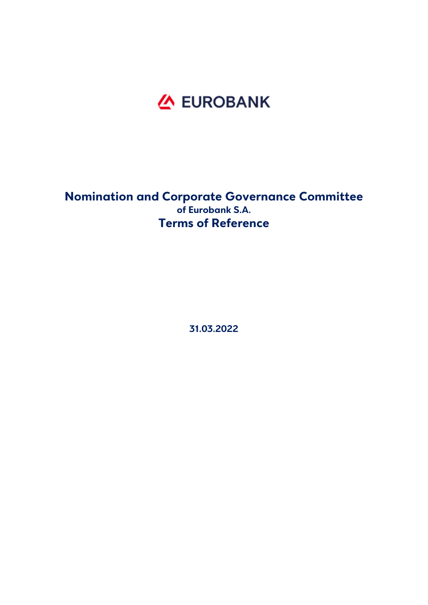

# **Nomination and Corporate Governance Committee of Eurobank S.A. Terms of Reference**

**31.03.2022**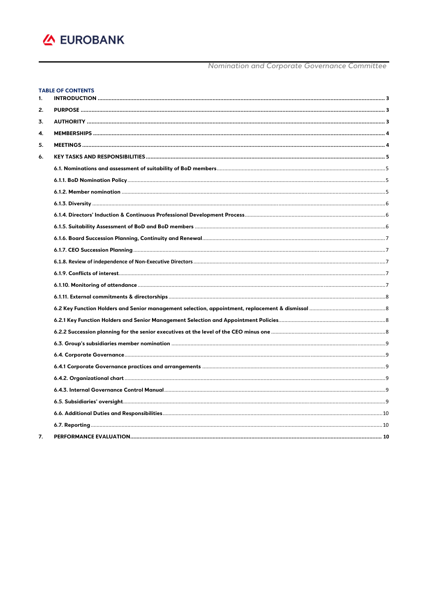

#### **TABLE OF CONTENTS**  $\sim$

| 1. |  |
|----|--|
| 2. |  |
| 3. |  |
| 4. |  |
| 5. |  |
| 6. |  |
|    |  |
|    |  |
|    |  |
|    |  |
|    |  |
|    |  |
|    |  |
|    |  |
|    |  |
|    |  |
|    |  |
|    |  |
|    |  |
|    |  |
|    |  |
|    |  |
|    |  |
|    |  |
|    |  |
|    |  |
|    |  |
|    |  |
|    |  |
| 7. |  |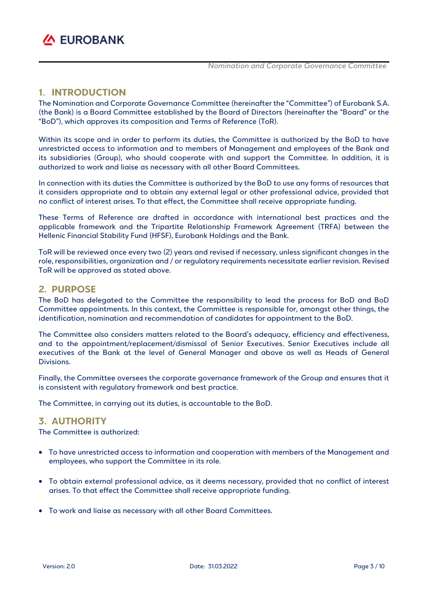

### **1. INTRODUCTION**

The Nomination and Corporate Governance Committee (hereinafter the "Committee") of Eurobank S.A. (the Bank) is a Board Committee established by the Board of Directors (hereinafter the "Board" or the "BoD"), which approves its composition and Terms of Reference (ToR).

Within its scope and in order to perform its duties, the Committee is authorized by the BoD to have unrestricted access to information and to members of Management and employees of the Bank and its subsidiaries (Group), who should cooperate with and support the Committee. In addition, it is authorized to work and liaise as necessary with all other Board Committees.

In connection with its duties the Committee is authorized by the BoD to use any forms of resources that it considers appropriate and to obtain any external legal or other professional advice, provided that no conflict of interest arises. To that effect, the Committee shall receive appropriate funding.

These Terms of Reference are drafted in accordance with international best practices and the applicable framework and the Tripartite Relationship Framework Agreement (TRFA) between the Hellenic Financial Stability Fund (HFSF), Eurobank Holdings and the Bank.

ToR will be reviewed once every two (2) years and revised if necessary, unless significant changes in the role, responsibilities, organization and / or regulatory requirements necessitate earlier revision. Revised ToR will be approved as stated above.

### **2. PURPOSE**

The BoD has delegated to the Committee the responsibility to lead the process for BoD and BoD Committee appointments. In this context, the Committee is responsible for, amongst other things, the identification, nomination and recommendation of candidates for appointment to the BoD.

The Committee also considers matters related to the Board's adequacy, efficiency and effectiveness, and to the appointment/replacement/dismissal of Senior Executives. Senior Executives include all executives of the Bank at the level of General Manager and above as well as Heads of General Divisions.

Finally, the Committee oversees the corporate governance framework of the Group and ensures that it is consistent with regulatory framework and best practice.

The Committee, in carrying out its duties, is accountable to the BoD.

### **3. AUTHORITY**

The Committee is authorized:

- To have unrestricted access to information and cooperation with members of the Management and employees, who support the Committee in its role.
- To obtain external professional advice, as it deems necessary, provided that no conflict of interest arises. To that effect the Committee shall receive appropriate funding.
- To work and liaise as necessary with all other Board Committees.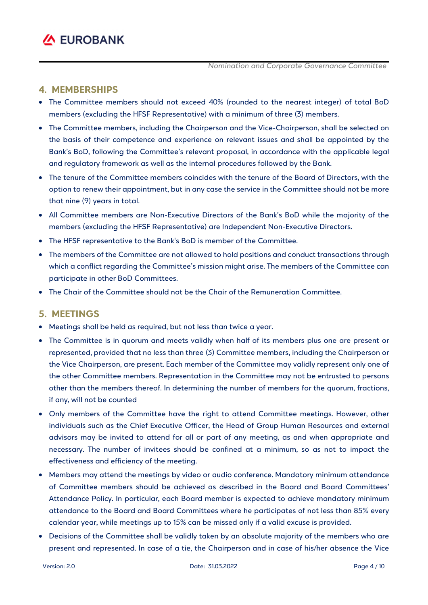### **4. MEMBERSHIPS**

- The Committee members should not exceed 40% (rounded to the nearest integer) of total BoD members (excluding the HFSF Representative) with a minimum of three (3) members.
- The Committee members, including the Chairperson and the Vice-Chairperson, shall be selected on the basis of their competence and experience on relevant issues and shall be appointed by the Bank's BoD, following the Committee's relevant proposal, in accordance with the applicable legal and regulatory framework as well as the internal procedures followed by the Bank.
- The tenure of the Committee members coincides with the tenure of the Board of Directors, with the option to renew their appointment, but in any case the service in the Committee should not be more that nine (9) years in total.
- All Committee members are Non-Executive Directors of the Bank's BoD while the majority of the members (excluding the HFSF Representative) are Independent Non-Executive Directors.
- The HFSF representative to the Bank's BoD is member of the Committee.
- The members of the Committee are not allowed to hold positions and conduct transactions through which a conflict regarding the Committee's mission might arise. The members of the Committee can participate in other BoD Committees.
- The Chair of the Committee should not be the Chair of the Remuneration Committee.

### **5. MEETINGS**

- Meetings shall be held as required, but not less than twice a year.
- The Committee is in quorum and meets validly when half of its members plus one are present or represented, provided that no less than three (3) Committee members, including the Chairperson or the Vice Chairperson, are present. Each member of the Committee may validly represent only one of the other Committee members. Representation in the Committee may not be entrusted to persons other than the members thereof. In determining the number of members for the quorum, fractions, if any, will not be counted
- Only members of the Committee have the right to attend Committee meetings. However, other individuals such as the Chief Executive Officer, the Head of Group Human Resources and external advisors may be invited to attend for all or part of any meeting, as and when appropriate and necessary. The number of invitees should be confined at a minimum, so as not to impact the effectiveness and efficiency of the meeting.
- Members may attend the meetings by video or audio conference. Mandatory minimum attendance of Committee members should be achieved as described in the Board and Board Committees' Attendance Policy. In particular, each Board member is expected to achieve mandatory minimum attendance to the Board and Board Committees where he participates of not less than 85% every calendar year, while meetings up to 15% can be missed only if a valid excuse is provided.
- Decisions of the Committee shall be validly taken by an absolute majority of the members who are present and represented. In case of a tie, the Chairperson and in case of his/her absence the Vice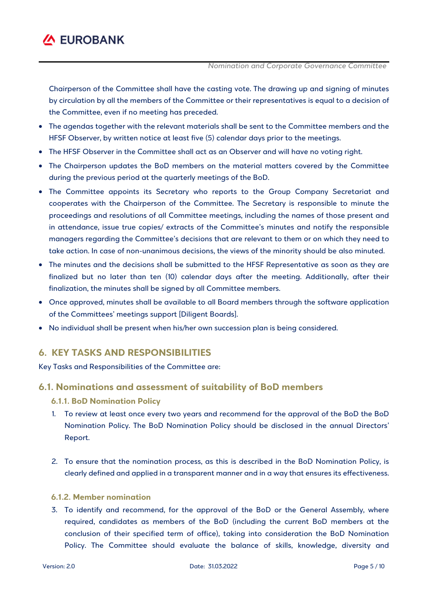

Chairperson of the Committee shall have the casting vote. The drawing up and signing of minutes by circulation by all the members of the Committee or their representatives is equal to a decision of the Committee, even if no meeting has preceded.

- The agendas together with the relevant materials shall be sent to the Committee members and the HFSF Observer, by written notice at least five (5) calendar days prior to the meetings.
- The HFSF Observer in the Committee shall act as an Observer and will have no voting right.
- The Chairperson updates the BoD members on the material matters covered by the Committee during the previous period at the quarterly meetings of the BoD.
- The Committee appoints its Secretary who reports to the Group Company Secretariat and cooperates with the Chairperson of the Committee. The Secretary is responsible to minute the proceedings and resolutions of all Committee meetings, including the names of those present and in attendance, issue true copies/ extracts of the Committee's minutes and notify the responsible managers regarding the Committee's decisions that are relevant to them or on which they need to take action. In case of non-unanimous decisions, the views of the minority should be also minuted.
- The minutes and the decisions shall be submitted to the HFSF Representative as soon as they are finalized but no later than ten (10) calendar days after the meeting. Additionally, after their finalization, the minutes shall be signed by all Committee members.
- Once approved, minutes shall be available to all Board members through the software application of the Committees' meetings support [Diligent Boards].
- No individual shall be present when his/her own succession plan is being considered.

## **6. KEY TASKS AND RESPONSIBILITIES**

Key Tasks and Responsibilities of the Committee are:

### **6.1. Nominations and assessment of suitability of BoD members**

#### **6.1.1. BoD Nomination Policy**

- 1. To review at least once every two years and recommend for the approval of the BoD the BoD Nomination Policy. The BoD Nomination Policy should be disclosed in the annual Directors' Report.
- 2. To ensure that the nomination process, as this is described in the BoD Nomination Policy, is clearly defined and applied in a transparent manner and in a way that ensures its effectiveness.

#### **6.1.2. Member nomination**

3. To identify and recommend, for the approval of the BoD or the General Assembly, where required, candidates as members of the BoD (including the current BoD members at the conclusion of their specified term of office), taking into consideration the BoD Nomination Policy. The Committee should evaluate the balance of skills, knowledge, diversity and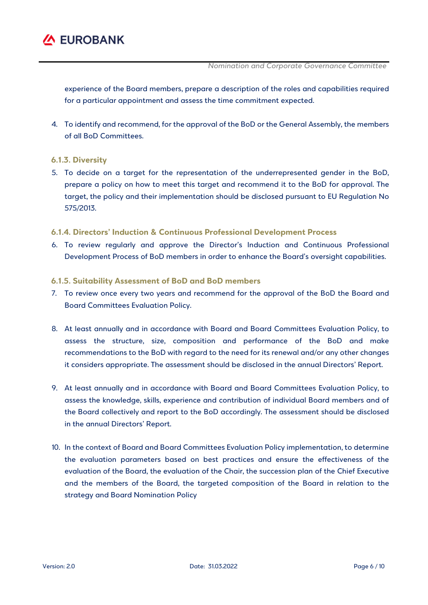

experience of the Board members, prepare a description of the roles and capabilities required for a particular appointment and assess the time commitment expected.

4. To identify and recommend, for the approval of the BoD or the General Assembly, the members of all BoD Committees.

#### **6.1.3. Diversity**

5. To decide on a target for the representation of the underrepresented gender in the BoD, prepare a policy on how to meet this target and recommend it to the BoD for approval. The target, the policy and their implementation should be disclosed pursuant to EU Regulation No 575/2013.

### **6.1.4. Directors' Induction & Continuous Professional Development Process**

6. To review regularly and approve the Director's Induction and Continuous Professional Development Process of BoD members in order to enhance the Board's oversight capabilities.

#### **6.1.5. Suitability Assessment of BoD and BoD members**

- 7. To review once every two years and recommend for the approval of the BoD the Board and Board Committees Evaluation Policy.
- 8. At least annually and in accordance with Board and Board Committees Evaluation Policy, to assess the structure, size, composition and performance of the BoD and make recommendations to the BoD with regard to the need for its renewal and/or any other changes it considers appropriate. The assessment should be disclosed in the annual Directors' Report.
- 9. At least annually and in accordance with Board and Board Committees Evaluation Policy, to assess the knowledge, skills, experience and contribution of individual Board members and of the Board collectively and report to the BoD accordingly. The assessment should be disclosed in the annual Directors' Report.
- 10. In the context of Board and Board Committees Evaluation Policy implementation, to determine the evaluation parameters based on best practices and ensure the effectiveness of the evaluation of the Board, the evaluation of the Chair, the succession plan of the Chief Executive and the members of the Board, the targeted composition of the Board in relation to the strategy and Board Nomination Policy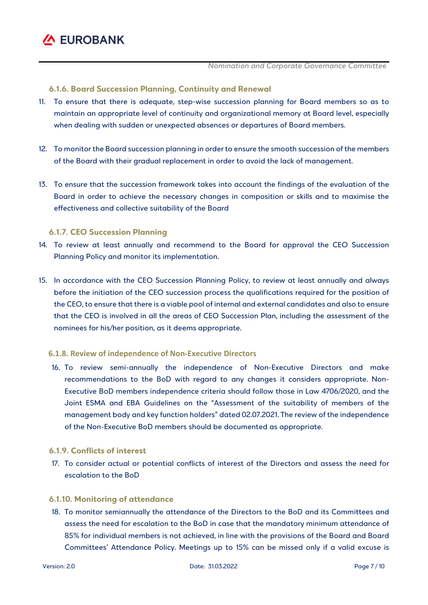

#### **6.1.6. Board Succession Planning, Continuity and Renewal**

- 11. To ensure that there is adequate, step-wise succession planning for Board members so as to maintain an appropriate level of continuity and organizational memory at Board level, especially when dealing with sudden or unexpected absences or departures of Board members.
- 12. To monitor the Board succession planning in order to ensure the smooth succession of the members of the Board with their gradual replacement in order to avoid the lack of management.
- 13. To ensure that the succession framework takes into account the findings of the evaluation of the Board in order to achieve the necessary changes in composition or skills and to maximise the effectiveness and collective suitability of the Board

#### **6.1.7. CEO Succession Planning**

- 14. To review at least annually and recommend to the Board for approval the CEO Succession Planning Policy and monitor its implementation.
- 15. In accordance with the CEO Succession Planning Policy, to review at least annually and always before the initiation of the CEO succession process the qualifications required for the position of the CEO, to ensure that there is a viable pool of internal and external candidates and also to ensure that the CEO is involved in all the areas of CEO Succession Plan, including the assessment of the nominees for his/her position, as it deems appropriate.

#### **6.1.8. Review of independence of Non‐Executive Directors**

16. To review semi-annually the independence of Non-Executive Directors and make recommendations to the BoD with regard to any changes it considers appropriate. Non-Executive BoD members independence criteria should follow those in Law 4706/2020, and the Joint ESMA and EBA Guidelines on the "Assessment of the suitability of members of the management body and key function holders" dated 02.07.2021. The review of the independence of the Non-Executive BoD members should be documented as appropriate.

#### **6.1.9. Conflicts of interest**

17. To consider actual or potential conflicts of interest of the Directors and assess the need for escalation to the BoD

#### **6.1.10. Monitoring of attendance**

18. To monitor semiannually the attendance of the Directors to the BoD and its Committees and assess the need for escalation to the BoD in case that the mandatory minimum attendance of 85% for individual members is not achieved, in line with the provisions of the Board and Board Committees' Attendance Policy. Meetings up to 15% can be missed only if a valid excuse is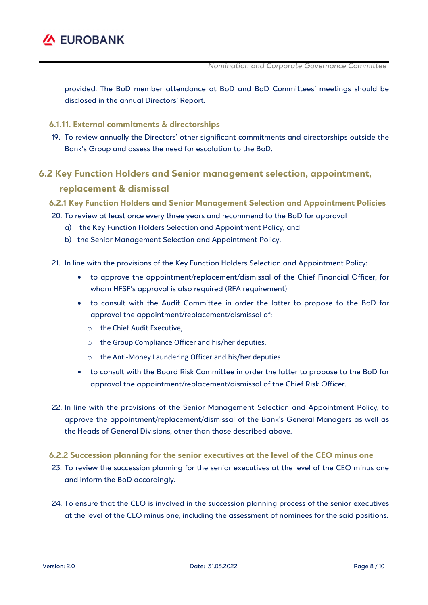

provided. The BoD member attendance at BoD and BoD Committees' meetings should be disclosed in the annual Directors' Report.

#### **6.1.11. External commitments & directorships**

19. To review annually the Directors' other significant commitments and directorships outside the Bank's Group and assess the need for escalation to the BoD.

# **6.2 Key Function Holders and Senior management selection, appointment, replacement & dismissal**

#### **6.2.1 Key Function Holders and Senior Management Selection and Appointment Policies**

- 20. To review at least once every three years and recommend to the BoD for approval
	- a) the Key Function Holders Selection and Appointment Policy, and
	- b) the Senior Management Selection and Appointment Policy.
- 21. In line with the provisions of the Key Function Holders Selection and Appointment Policy:
	- to approve the appointment/replacement/dismissal of the Chief Financial Officer, for whom HFSF's approval is also required (RFA requirement)
	- to consult with the Audit Committee in order the latter to propose to the BoD for approval the appointment/replacement/dismissal of:
		- o the Chief Audit Executive,
		- o the Group Compliance Officer and his/her deputies,
		- o the Anti‐Money Laundering Officer and his/her deputies
	- to consult with the Board Risk Committee in order the latter to propose to the BoD for approval the appointment/replacement/dismissal of the Chief Risk Officer.
- 22. In line with the provisions of the Senior Management Selection and Appointment Policy, to approve the appointment/replacement/dismissal of the Bank's General Managers as well as the Heads of General Divisions, other than those described above.
- **6.2.2 Succession planning for the senior executives at the level of the CEO minus one**
- 23. To review the succession planning for the senior executives at the level of the CEO minus one and inform the BoD accordingly.
- 24. To ensure that the CEO is involved in the succession planning process of the senior executives at the level of the CEO minus one, including the assessment of nominees for the said positions.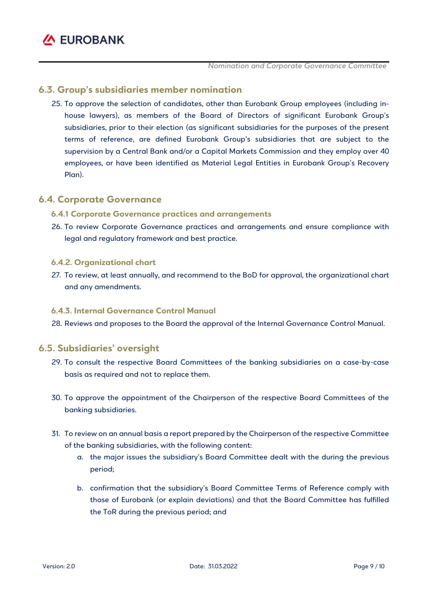### **6.3. Group's subsidiaries member nomination**

25. To approve the selection of candidates, other than Eurobank Group employees (including inhouse lawyers), as members of the Board of Directors of significant Eurobank Group's subsidiaries, prior to their election (as significant subsidiaries for the purposes of the present terms of reference, are defined Eurobank Group's subsidiaries that are subject to the supervision by a Central Bank and/or a Capital Markets Commission and they employ over 40 employees, or have been identified as Material Legal Entities in Eurobank Group's Recovery Plan).

### **6.4. Corporate Governance**

### **6.4.1 Corporate Governance practices and arrangements**

26. To review Corporate Governance practices and arrangements and ensure compliance with legal and regulatory framework and best practice.

### **6.4.2. Organizational chart**

27. To review, at least annually, and recommend to the BoD for approval, the organizational chart and any amendments.

### **6.4.3. Internal Governance Control Manual**

28. Reviews and proposes to the Board the approval of the Internal Governance Control Manual.

## **6.5. Subsidiaries' oversight**

- 29. To consult the respective Board Committees of the banking subsidiaries on a case-by-case basis as required and not to replace them.
- 30. To approve the appointment of the Chairperson of the respective Board Committees of the banking subsidiaries.
- 31. To review on an annual basis a report prepared by the Chairperson of the respective Committee of the banking subsidiaries, with the following content:
	- a. the major issues the subsidiary's Board Committee dealt with the during the previous period;
	- b. confirmation that the subsidiary's Board Committee Terms of Reference comply with those of Eurobank (or explain deviations) and that the Board Committee has fulfilled the ToR during the previous period; and